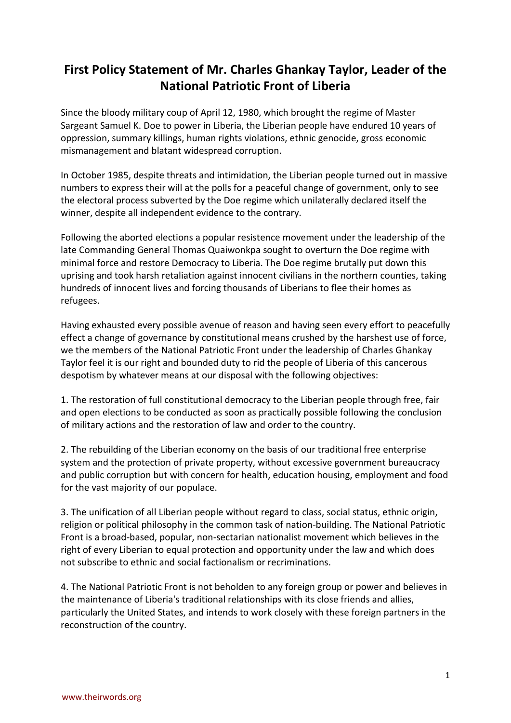## **First Policy Statement of Mr. Charles Ghankay Taylor, Leader of the National Patriotic Front of Liberia**

Since the bloody military coup of April 12, 1980, which brought the regime of Master Sargeant Samuel K. Doe to power in Liberia, the Liberian people have endured 10 years of oppression, summary killings, human rights violations, ethnic genocide, gross economic mismanagement and blatant widespread corruption.

In October 1985, despite threats and intimidation, the Liberian people turned out in massive numbers to express their will at the polls for a peaceful change of government, only to see the electoral process subverted by the Doe regime which unilaterally declared itself the winner, despite all independent evidence to the contrary.

Following the aborted elections a popular resistence movement under the leadership of the late Commanding General Thomas Quaiwonkpa sought to overturn the Doe regime with minimal force and restore Democracy to Liberia. The Doe regime brutally put down this uprising and took harsh retaliation against innocent civilians in the northern counties, taking hundreds of innocent lives and forcing thousands of Liberians to flee their homes as refugees.

Having exhausted every possible avenue of reason and having seen every effort to peacefully effect a change of governance by constitutional means crushed by the harshest use of force, we the members of the National Patriotic Front under the leadership of Charles Ghankay Taylor feel it is our right and bounded duty to rid the people of Liberia of this cancerous despotism by whatever means at our disposal with the following objectives:

1. The restoration of full constitutional democracy to the Liberian people through free, fair and open elections to be conducted as soon as practically possible following the conclusion of military actions and the restoration of law and order to the country.

2. The rebuilding of the Liberian economy on the basis of our traditional free enterprise system and the protection of private property, without excessive government bureaucracy and public corruption but with concern for health, education housing, employment and food for the vast majority of our populace.

3. The unification of all Liberian people without regard to class, social status, ethnic origin, religion or political philosophy in the common task of nation-building. The National Patriotic Front is a broad-based, popular, non-sectarian nationalist movement which believes in the right of every Liberian to equal protection and opportunity under the law and which does not subscribe to ethnic and social factionalism or recriminations.

4. The National Patriotic Front is not beholden to any foreign group or power and believes in the maintenance of Liberia's traditional relationships with its close friends and allies, particularly the United States, and intends to work closely with these foreign partners in the reconstruction of the country.